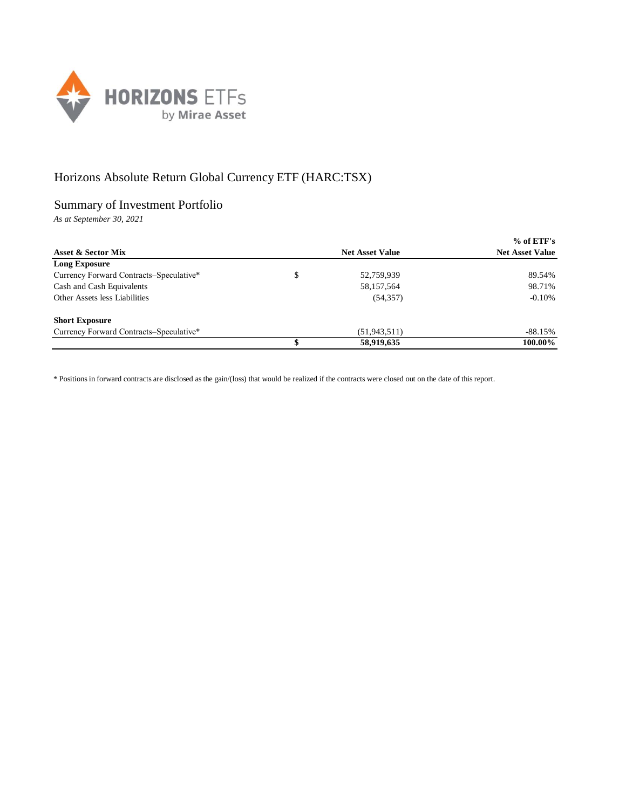

## Horizons Absolute Return Global Currency ETF (HARC:TSX)

## Summary of Investment Portfolio

*As at September 30, 2021*

|                                         |                        | $%$ of ETF's           |
|-----------------------------------------|------------------------|------------------------|
| Asset & Sector Mix                      | <b>Net Asset Value</b> | <b>Net Asset Value</b> |
| Long Exposure                           |                        |                        |
| Currency Forward Contracts–Speculative* | \$<br>52,759,939       | 89.54%                 |
| Cash and Cash Equivalents               | 58,157,564             | 98.71%                 |
| Other Assets less Liabilities           | (54, 357)              | $-0.10%$               |
| <b>Short Exposure</b>                   |                        |                        |
| Currency Forward Contracts-Speculative* | (51, 943, 511)         | -88.15%                |
|                                         | 58,919,635             | 100.00%                |

\* Positions in forward contracts are disclosed as the gain/(loss) that would be realized if the contracts were closed out on the date of this report.